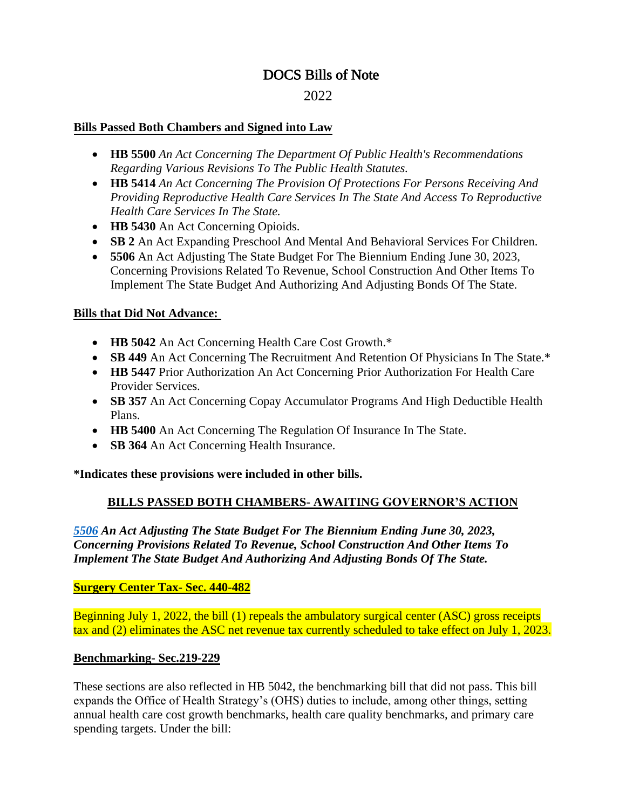# DOCS Bills of Note

### 2022

#### **Bills Passed Both Chambers and Signed into Law**

- **HB 5500** *An Act Concerning The Department Of Public Health's Recommendations Regarding Various Revisions To The Public Health Statutes.*
- **HB 5414** *An Act Concerning The Provision Of Protections For Persons Receiving And Providing Reproductive Health Care Services In The State And Access To Reproductive Health Care Services In The State.*
- **HB 5430** An Act Concerning Opioids.
- **SB 2** An Act Expanding Preschool And Mental And Behavioral Services For Children.
- **5506** An Act Adjusting The State Budget For The Biennium Ending June 30, 2023, Concerning Provisions Related To Revenue, School Construction And Other Items To Implement The State Budget And Authorizing And Adjusting Bonds Of The State.

#### **Bills that Did Not Advance:**

- **HB 5042** An Act Concerning Health Care Cost Growth.\*
- **SB 449** An Act Concerning The Recruitment And Retention Of Physicians In The State.\*
- **HB 5447** Prior Authorization An Act Concerning Prior Authorization For Health Care Provider Services.
- **SB 357** An Act Concerning Copay Accumulator Programs And High Deductible Health Plans.
- **HB 5400** An Act Concerning The Regulation Of Insurance In The State.
- **SB 364** An Act Concerning Health Insurance.

**\*Indicates these provisions were included in other bills.**

### **BILLS PASSED BOTH CHAMBERS- AWAITING GOVERNOR'S ACTION**

*5506 An Act Adjusting The State Budget For The Biennium Ending June 30, 2023, Concerning Provisions Related To Revenue, School Construction And Other Items To Implement The State Budget And Authorizing And Adjusting Bonds Of The State.*

#### **Surgery Center Tax- Sec. 440-482**

Beginning July 1, 2022, the bill (1) repeals the ambulatory surgical center (ASC) gross receipts tax and (2) eliminates the ASC net revenue tax currently scheduled to take effect on July 1, 2023.

#### **Benchmarking- Sec.219-229**

These sections are also reflected in HB 5042, the benchmarking bill that did not pass. This bill expands the Office of Health Strategy's (OHS) duties to include, among other things, setting annual health care cost growth benchmarks, health care quality benchmarks, and primary care spending targets. Under the bill: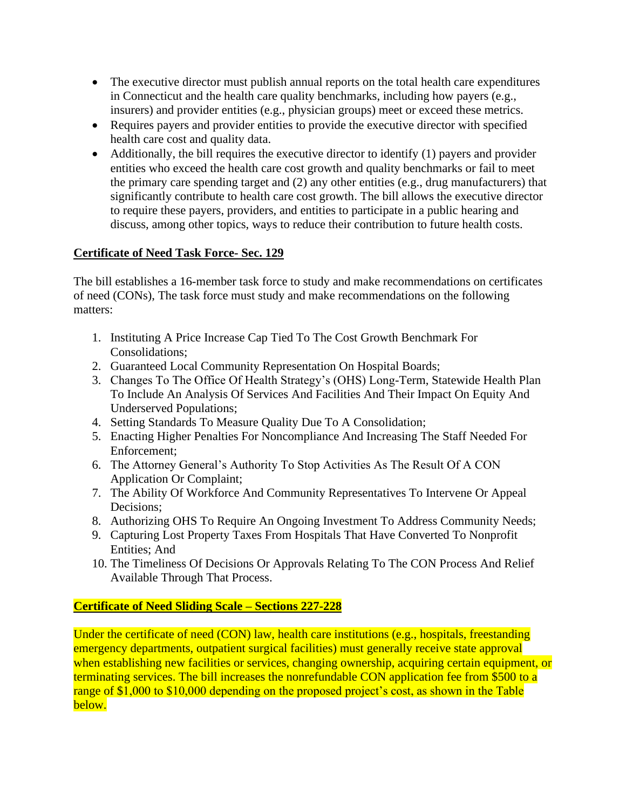- The executive director must publish annual reports on the total health care expenditures in Connecticut and the health care quality benchmarks, including how payers (e.g., insurers) and provider entities (e.g., physician groups) meet or exceed these metrics.
- Requires payers and provider entities to provide the executive director with specified health care cost and quality data.
- Additionally, the bill requires the executive director to identify (1) payers and provider entities who exceed the health care cost growth and quality benchmarks or fail to meet the primary care spending target and (2) any other entities (e.g., drug manufacturers) that significantly contribute to health care cost growth. The bill allows the executive director to require these payers, providers, and entities to participate in a public hearing and discuss, among other topics, ways to reduce their contribution to future health costs.

# **Certificate of Need Task Force- Sec. 129**

The bill establishes a 16-member task force to study and make recommendations on certificates of need (CONs), The task force must study and make recommendations on the following matters:

- 1. Instituting A Price Increase Cap Tied To The Cost Growth Benchmark For Consolidations;
- 2. Guaranteed Local Community Representation On Hospital Boards;
- 3. Changes To The Office Of Health Strategy's (OHS) Long-Term, Statewide Health Plan To Include An Analysis Of Services And Facilities And Their Impact On Equity And Underserved Populations;
- 4. Setting Standards To Measure Quality Due To A Consolidation;
- 5. Enacting Higher Penalties For Noncompliance And Increasing The Staff Needed For Enforcement;
- 6. The Attorney General's Authority To Stop Activities As The Result Of A CON Application Or Complaint;
- 7. The Ability Of Workforce And Community Representatives To Intervene Or Appeal Decisions;
- 8. Authorizing OHS To Require An Ongoing Investment To Address Community Needs;
- 9. Capturing Lost Property Taxes From Hospitals That Have Converted To Nonprofit Entities; And
- 10. The Timeliness Of Decisions Or Approvals Relating To The CON Process And Relief Available Through That Process.

# **Certificate of Need Sliding Scale – Sections 227-228**

Under the certificate of need (CON) law, health care institutions (e.g., hospitals, freestanding emergency departments, outpatient surgical facilities) must generally receive state approval when establishing new facilities or services, changing ownership, acquiring certain equipment, or terminating services. The bill increases the nonrefundable CON application fee from \$500 to a range of \$1,000 to \$10,000 depending on the proposed project's cost, as shown in the Table below.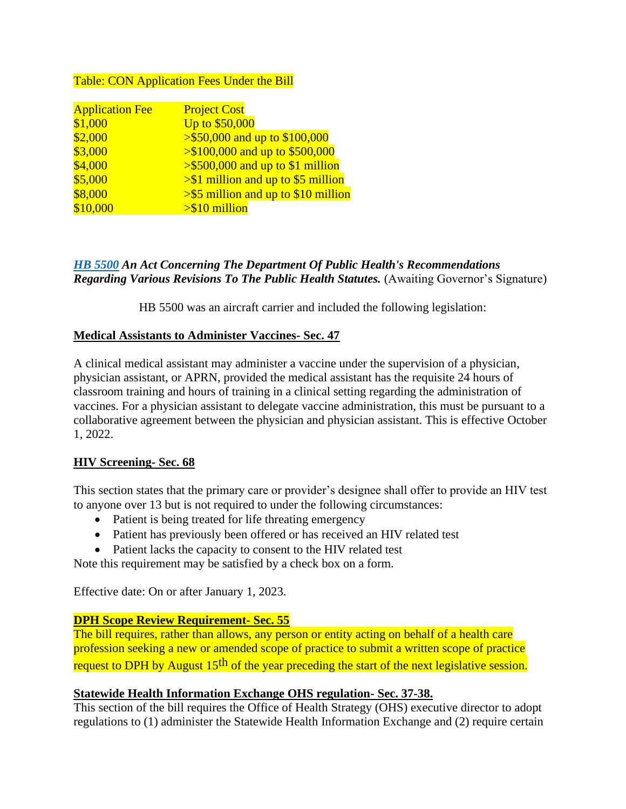#### Table: CON Application Fees Under the Bill

| <b>Application Fee</b> | <b>Project Cost</b>                         |
|------------------------|---------------------------------------------|
| \$1,000                | Up to \$50,000                              |
| \$2,000                | $>$ \$50,000 and up to \$100,000            |
| \$3,000                | $\frac{$100,000}{100}$ and up to \$500,000  |
| \$4,000                | $\frac{$500,000}{0}$ and up to \$1 million  |
| \$5,000                | $\frac{1}{2}$ million and up to \$5 million |
| \$8,000                | $>$ \$5 million and up to \$10 million      |
| \$10,000               | $> $10$ million                             |

### *HB [5500](https://www.cga.ct.gov/2022/FC/PDF/2022HB-05500-R000528-FC.PDF) An Act Concerning The Department Of Public Health's Recommendations Regarding Various Revisions To The Public Health Statutes.* (Awaiting Governor's Signature)

HB 5500 was an aircraft carrier and included the following legislation:

#### **Medical Assistants to Administer Vaccines- Sec. 47**

A clinical medical assistant may administer a vaccine under the supervision of a physician, physician assistant, or APRN, provided the medical assistant has the requisite 24 hours of classroom training and hours of training in a clinical setting regarding the administration of vaccines. For a physician assistant to delegate vaccine administration, this must be pursuant to a collaborative agreement between the physician and physician assistant. This is effective October 1, 2022.

### **HIV Screening- Sec. 68**

This section states that the primary care or provider's designee shall offer to provide an HIV test to anyone over 13 but is not required to under the following circumstances:

- Patient is being treated for life threating emergency
- Patient has previously been offered or has received an HIV related test
- Patient lacks the capacity to consent to the HIV related test

Note this requirement may be satisfied by a check box on a form.

Effective date: On or after January 1, 2023.

### **DPH Scope Review Requirement- Sec. 55**

The bill requires, rather than allows, any person or entity acting on behalf of a health care profession seeking a new or amended scope of practice to submit a written scope of practice request to DPH by August 15<sup>th</sup> of the year preceding the start of the next legislative session.

### **Statewide Health Information Exchange OHS regulation- Sec. 37-38.**

This section of the bill requires the Office of Health Strategy (OHS) executive director to adopt regulations to (1) administer the Statewide Health Information Exchange and (2) require certain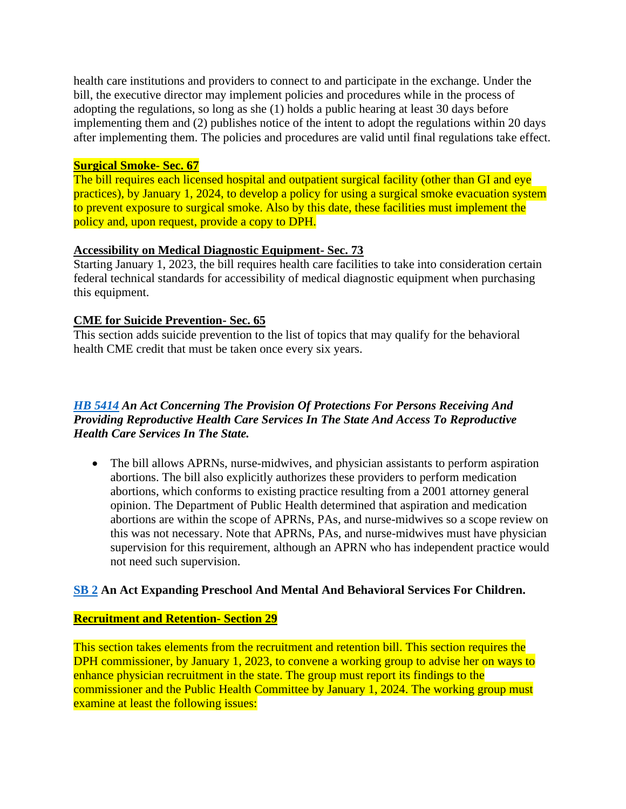health care institutions and providers to connect to and participate in the exchange. Under the bill, the executive director may implement policies and procedures while in the process of adopting the regulations, so long as she (1) holds a public hearing at least 30 days before implementing them and (2) publishes notice of the intent to adopt the regulations within 20 days after implementing them. The policies and procedures are valid until final regulations take effect.

#### **Surgical Smoke- Sec. 67**

The bill requires each licensed hospital and outpatient surgical facility (other than GI and eye practices), by January 1, 2024, to develop a policy for using a surgical smoke evacuation system to prevent exposure to surgical smoke. Also by this date, these facilities must implement the policy and, upon request, provide a copy to DPH.

#### **Accessibility on Medical Diagnostic Equipment- Sec. 73**

Starting January 1, 2023, the bill requires health care facilities to take into consideration certain federal technical standards for accessibility of medical diagnostic equipment when purchasing this equipment.

#### **CME for Suicide Prevention- Sec. 65**

This section adds suicide prevention to the list of topics that may qualify for the behavioral health CME credit that must be taken once every six years.

#### *[HB 5414](https://www.cga.ct.gov/2022/ACT/PA/PDF/2022PA-00019-R00HB-05414-PA.PDF) An Act Concerning The Provision Of Protections For Persons Receiving And Providing Reproductive Health Care Services In The State And Access To Reproductive Health Care Services In The State.*

• The bill allows APRNs, nurse-midwives, and physician assistants to perform aspiration abortions. The bill also explicitly authorizes these providers to perform medication abortions, which conforms to existing practice resulting from a 2001 attorney general opinion. The Department of Public Health determined that aspiration and medication abortions are within the scope of APRNs, PAs, and nurse-midwives so a scope review on this was not necessary. Note that APRNs, PAs, and nurse-midwives must have physician supervision for this requirement, although an APRN who has independent practice would not need such supervision.

### **[SB 2](https://www.cga.ct.gov/2022/TOB/S/PDF/2022SB-00002-R03-SB.PDF) An Act Expanding Preschool And Mental And Behavioral Services For Children.**

#### **Recruitment and Retention- Section 29**

This section takes elements from the recruitment and retention bill. This section requires the DPH commissioner, by January 1, 2023, to convene a working group to advise her on ways to enhance physician recruitment in the state. The group must report its findings to the commissioner and the Public Health Committee by January 1, 2024. The working group must examine at least the following issues: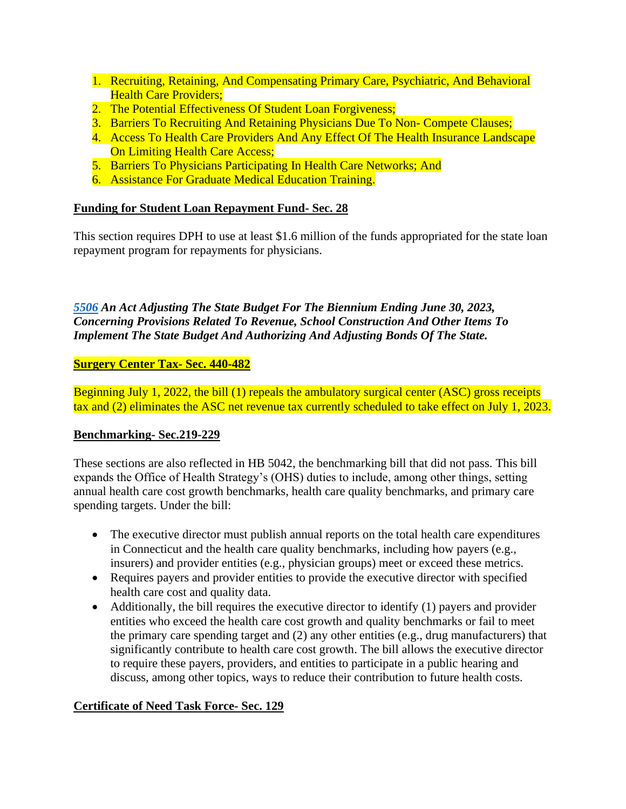- 1. Recruiting, Retaining, And Compensating Primary Care, Psychiatric, And Behavioral **Health Care Providers;**
- 2. The Potential Effectiveness Of Student Loan Forgiveness;
- 3. Barriers To Recruiting And Retaining Physicians Due To Non- Compete Clauses;
- 4. Access To Health Care Providers And Any Effect Of The Health Insurance Landscape **On Limiting Health Care Access;**
- 5. Barriers To Physicians Participating In Health Care Networks; And
- 6. Assistance For Graduate Medical Education Training.

### **Funding for Student Loan Repayment Fund- Sec. 28**

This section requires DPH to use at least \$1.6 million of the funds appropriated for the state loan repayment program for repayments for physicians.

### *[5506](https://www.cga.ct.gov/2022/TOB/H/PDF/2022HB-05506-R00-HB.PDF) An Act Adjusting The State Budget For The Biennium Ending June 30, 2023, Concerning Provisions Related To Revenue, School Construction And Other Items To Implement The State Budget And Authorizing And Adjusting Bonds Of The State.*

### **Surgery Center Tax- Sec. 440-482**

Beginning July 1, 2022, the bill (1) repeals the ambulatory surgical center (ASC) gross receipts tax and (2) eliminates the ASC net revenue tax currently scheduled to take effect on July 1, 2023.

### **Benchmarking- Sec.219-229**

These sections are also reflected in HB 5042, the benchmarking bill that did not pass. This bill expands the Office of Health Strategy's (OHS) duties to include, among other things, setting annual health care cost growth benchmarks, health care quality benchmarks, and primary care spending targets. Under the bill:

- The executive director must publish annual reports on the total health care expenditures in Connecticut and the health care quality benchmarks, including how payers (e.g., insurers) and provider entities (e.g., physician groups) meet or exceed these metrics.
- Requires payers and provider entities to provide the executive director with specified health care cost and quality data.
- Additionally, the bill requires the executive director to identify (1) payers and provider entities who exceed the health care cost growth and quality benchmarks or fail to meet the primary care spending target and (2) any other entities (e.g., drug manufacturers) that significantly contribute to health care cost growth. The bill allows the executive director to require these payers, providers, and entities to participate in a public hearing and discuss, among other topics, ways to reduce their contribution to future health costs.

### **Certificate of Need Task Force- Sec. 129**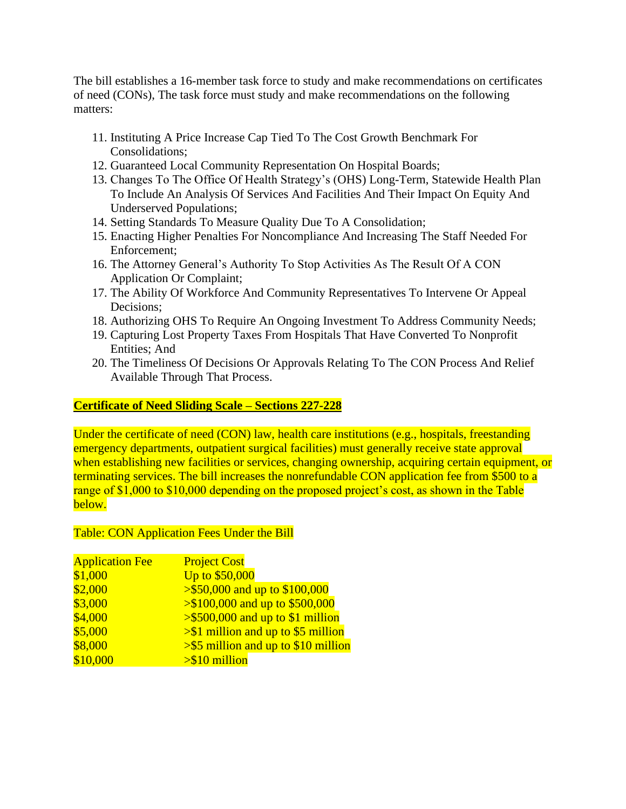The bill establishes a 16-member task force to study and make recommendations on certificates of need (CONs), The task force must study and make recommendations on the following matters:

- 11. Instituting A Price Increase Cap Tied To The Cost Growth Benchmark For Consolidations;
- 12. Guaranteed Local Community Representation On Hospital Boards;
- 13. Changes To The Office Of Health Strategy's (OHS) Long-Term, Statewide Health Plan To Include An Analysis Of Services And Facilities And Their Impact On Equity And Underserved Populations;
- 14. Setting Standards To Measure Quality Due To A Consolidation;
- 15. Enacting Higher Penalties For Noncompliance And Increasing The Staff Needed For Enforcement;
- 16. The Attorney General's Authority To Stop Activities As The Result Of A CON Application Or Complaint;
- 17. The Ability Of Workforce And Community Representatives To Intervene Or Appeal Decisions;
- 18. Authorizing OHS To Require An Ongoing Investment To Address Community Needs;
- 19. Capturing Lost Property Taxes From Hospitals That Have Converted To Nonprofit Entities; And
- 20. The Timeliness Of Decisions Or Approvals Relating To The CON Process And Relief Available Through That Process.

#### **Certificate of Need Sliding Scale – Sections 227-228**

Under the certificate of need (CON) law, health care institutions (e.g., hospitals, freestanding emergency departments, outpatient surgical facilities) must generally receive state approval when establishing new facilities or services, changing ownership, acquiring certain equipment, or terminating services. The bill increases the nonrefundable CON application fee from \$500 to a range of \$1,000 to \$10,000 depending on the proposed project's cost, as shown in the Table below.

#### Table: CON Application Fees Under the Bill

| <b>Application Fee</b> | <b>Project Cost</b>                            |
|------------------------|------------------------------------------------|
| \$1,000                | Up to \$50,000                                 |
| \$2,000                | $\frac{$50,000}{0}$ and up to \$100,000        |
| \$3,000                | $\frac{$100,000}{100}$ and up to \$500,000     |
| \$4,000                | $\frac{5500,000}{500}$ and up to \$1 million   |
| \$5,000                | $\frac{1}{2}$ million and up to \$5 million    |
| \$8,000                | $\frac{55}{25}$ million and up to \$10 million |
| \$10,000               | $> $10$ million                                |